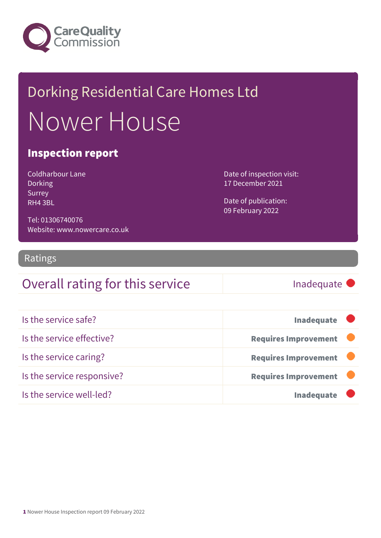

# Dorking Residential Care Homes Ltd Nower House

### Inspection report

| Coldharbour Lane |
|------------------|
| Dorking          |
| Surrey           |
| RH4 3BL          |

Date of inspection visit: 17 December 2021

Date of publication: 09 February 2022

Tel: 01306740076 Website: www.nowercare.co.uk

#### Ratings

### Overall rating for this service Fig. 5 and the linadequate

| Is the service safe?       | <b>Inadequate</b>           |
|----------------------------|-----------------------------|
| Is the service effective?  | <b>Requires Improvement</b> |
| Is the service caring?     | <b>Requires Improvement</b> |
| Is the service responsive? | <b>Requires Improvement</b> |
| Is the service well-led?   | <b>Inadequate</b>           |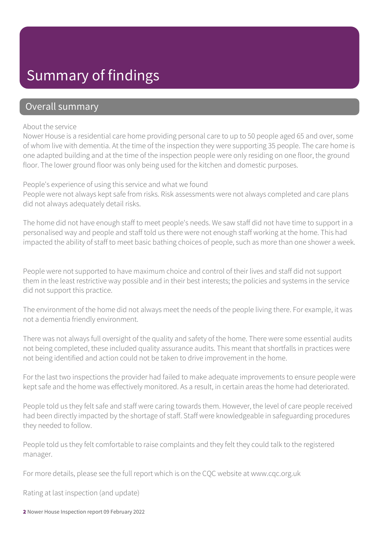## Summary of findings

#### Overall summary

#### About the service

Nower House is a residential care home providing personal care to up to 50 people aged 65 and over, some of whom live with dementia. At the time of the inspection they were supporting 35 people. The care home is one adapted building and at the time of the inspection people were only residing on one floor, the ground floor. The lower ground floor was only being used for the kitchen and domestic purposes.

People's experience of using this service and what we found People were not always kept safe from risks. Risk assessments were not always completed and care plans did not always adequately detail risks.

The home did not have enough staff to meet people's needs. We saw staff did not have time to support in a personalised way and people and staff told us there were not enough staff working at the home. This had impacted the ability of staff to meet basic bathing choices of people, such as more than one shower a week.

People were not supported to have maximum choice and control of their lives and staff did not support them in the least restrictive way possible and in their best interests; the policies and systems in the service did not support this practice.

The environment of the home did not always meet the needs of the people living there. For example, it was not a dementia friendly environment.

There was not always full oversight of the quality and safety of the home. There were some essential audits not being completed, these included quality assurance audits. This meant that shortfalls in practices were not being identified and action could not be taken to drive improvement in the home.

For the last two inspections the provider had failed to make adequate improvements to ensure people were kept safe and the home was effectively monitored. As a result, in certain areas the home had deteriorated.

People told us they felt safe and staff were caring towards them. However, the level of care people received had been directly impacted by the shortage of staff. Staff were knowledgeable in safeguarding procedures they needed to follow.

People told us they felt comfortable to raise complaints and they felt they could talk to the registered manager.

For more details, please see the full report which is on the CQC website at www.cqc.org.uk

Rating at last inspection (and update)

2 Nower House Inspection report 09 February 2022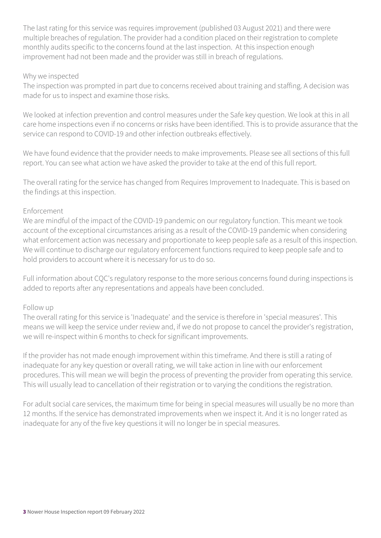The last rating for this service was requires improvement (published 03 August 2021) and there were multiple breaches of regulation. The provider had a condition placed on their registration to complete monthly audits specific to the concerns found at the last inspection. At this inspection enough improvement had not been made and the provider was still in breach of regulations.

#### Why we inspected

The inspection was prompted in part due to concerns received about training and staffing. A decision was made for us to inspect and examine those risks.

We looked at infection prevention and control measures under the Safe key question. We look at this in all care home inspections even if no concerns or risks have been identified. This is to provide assurance that the service can respond to COVID-19 and other infection outbreaks effectively.

We have found evidence that the provider needs to make improvements. Please see all sections of this full report. You can see what action we have asked the provider to take at the end of this full report.

The overall rating for the service has changed from Requires Improvement to Inadequate. This is based on the findings at this inspection.

#### Enforcement

We are mindful of the impact of the COVID-19 pandemic on our regulatory function. This meant we took account of the exceptional circumstances arising as a result of the COVID-19 pandemic when considering what enforcement action was necessary and proportionate to keep people safe as a result of this inspection. We will continue to discharge our regulatory enforcement functions required to keep people safe and to hold providers to account where it is necessary for us to do so.

Full information about CQC's regulatory response to the more serious concerns found during inspections is added to reports after any representations and appeals have been concluded.

#### Follow up

The overall rating for this service is 'Inadequate' and the service is therefore in 'special measures'. This means we will keep the service under review and, if we do not propose to cancel the provider's registration, we will re-inspect within 6 months to check for significant improvements.

If the provider has not made enough improvement within this timeframe. And there is still a rating of inadequate for any key question or overall rating, we will take action in line with our enforcement procedures. This will mean we will begin the process of preventing the provider from operating this service. This will usually lead to cancellation of their registration or to varying the conditions the registration.

For adult social care services, the maximum time for being in special measures will usually be no more than 12 months. If the service has demonstrated improvements when we inspect it. And it is no longer rated as inadequate for any of the five key questions it will no longer be in special measures.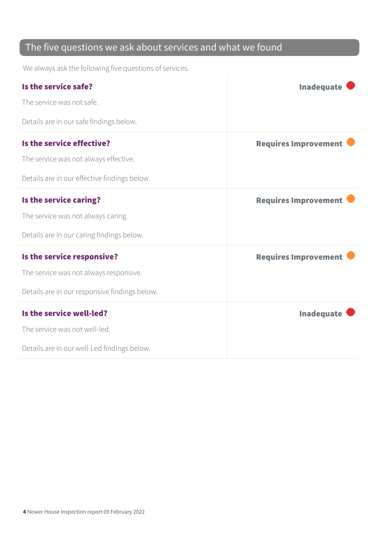### The five questions we ask about services and what we found

We always ask the following five questions of services.

| Is the service safe?                          | <b>Inadequate</b>           |
|-----------------------------------------------|-----------------------------|
| The service was not safe.                     |                             |
| Details are in our safe findings below.       |                             |
| Is the service effective?                     | <b>Requires Improvement</b> |
| The service was not always effective.         |                             |
| Details are in our effective findings below.  |                             |
| Is the service caring?                        | <b>Requires Improvement</b> |
| The service was not always caring.            |                             |
| Details are in our caring findings below.     |                             |
| Is the service responsive?                    | <b>Requires Improvement</b> |
| The service was not always responsive.        |                             |
| Details are in our responsive findings below. |                             |
| Is the service well-led?                      | <b>Inadequate</b>           |
| The service was not well-led.                 |                             |
| Details are in our well-Led findings below.   |                             |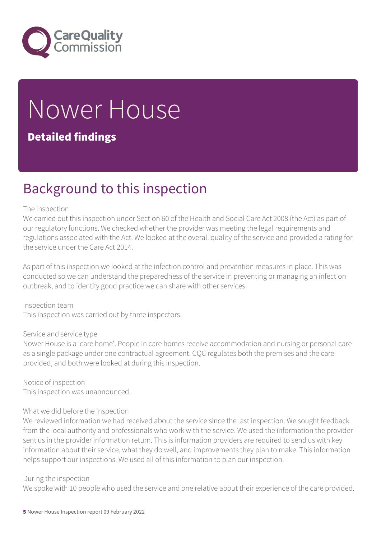

# Nower House

### Detailed findings

### Background to this inspection

#### The inspection

We carried out this inspection under Section 60 of the Health and Social Care Act 2008 (the Act) as part of our regulatory functions. We checked whether the provider was meeting the legal requirements and regulations associated with the Act. We looked at the overall quality of the service and provided a rating for the service under the Care Act 2014.

As part of this inspection we looked at the infection control and prevention measures in place. This was conducted so we can understand the preparedness of the service in preventing or managing an infection outbreak, and to identify good practice we can share with other services.

Inspection team This inspection was carried out by three inspectors.

#### Service and service type

Nower House is a 'care home'. People in care homes receive accommodation and nursing or personal care as a single package under one contractual agreement. CQC regulates both the premises and the care provided, and both were looked at during this inspection.

Notice of inspection This inspection was unannounced.

#### What we did before the inspection

We reviewed information we had received about the service since the last inspection. We sought feedback from the local authority and professionals who work with the service. We used the information the provider sent us in the provider information return. This is information providers are required to send us with key information about their service, what they do well, and improvements they plan to make. This information helps support our inspections. We used all of this information to plan our inspection.

#### During the inspection

We spoke with 10 people who used the service and one relative about their experience of the care provided.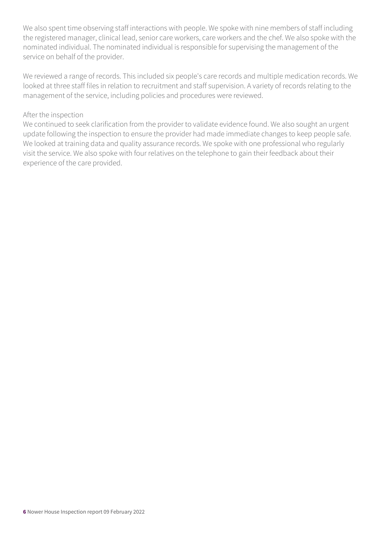We also spent time observing staff interactions with people. We spoke with nine members of staff including the registered manager, clinical lead, senior care workers, care workers and the chef. We also spoke with the nominated individual. The nominated individual is responsible for supervising the management of the service on behalf of the provider.

We reviewed a range of records. This included six people's care records and multiple medication records. We looked at three staff files in relation to recruitment and staff supervision. A variety of records relating to the management of the service, including policies and procedures were reviewed.

#### After the inspection

We continued to seek clarification from the provider to validate evidence found. We also sought an urgent update following the inspection to ensure the provider had made immediate changes to keep people safe. We looked at training data and quality assurance records. We spoke with one professional who regularly visit the service. We also spoke with four relatives on the telephone to gain their feedback about their experience of the care provided.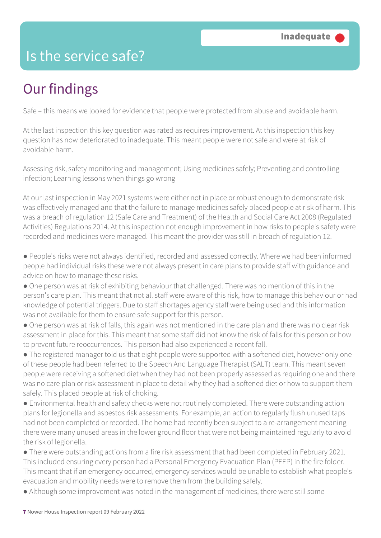## Is the service safe?

# Our findings

Safe – this means we looked for evidence that people were protected from abuse and avoidable harm.

At the last inspection this key question was rated as requires improvement. At this inspection this key question has now deteriorated to inadequate. This meant people were not safe and were at risk of avoidable harm.

Assessing risk, safety monitoring and management; Using medicines safely; Preventing and controlling infection; Learning lessons when things go wrong

At our last inspection in May 2021 systems were either not in place or robust enough to demonstrate risk was effectively managed and that the failure to manage medicines safely placed people at risk of harm. This was a breach of regulation 12 (Safe Care and Treatment) of the Health and Social Care Act 2008 (Regulated Activities) Regulations 2014. At this inspection not enough improvement in how risks to people's safety were recorded and medicines were managed. This meant the provider was still in breach of regulation 12.

● People's risks were not always identified, recorded and assessed correctly. Where we had been informed people had individual risks these were not always present in care plans to provide staff with guidance and advice on how to manage these risks.

● One person was at risk of exhibiting behaviour that challenged. There was no mention of this in the person's care plan. This meant that not all staff were aware of this risk, how to manage this behaviour or had knowledge of potential triggers. Due to staff shortages agency staff were being used and this information was not available for them to ensure safe support for this person.

● One person was at risk of falls, this again was not mentioned in the care plan and there was no clear risk assessment in place for this. This meant that some staff did not know the risk of falls for this person or how to prevent future reoccurrences. This person had also experienced a recent fall.

● The registered manager told us that eight people were supported with a softened diet, however only one of these people had been referred to the Speech And Language Therapist (SALT) team. This meant seven people were receiving a softened diet when they had not been properly assessed as requiring one and there was no care plan or risk assessment in place to detail why they had a softened diet or how to support them safely. This placed people at risk of choking.

● Environmental health and safety checks were not routinely completed. There were outstanding action plans for legionella and asbestos risk assessments. For example, an action to regularly flush unused taps had not been completed or recorded. The home had recently been subject to a re-arrangement meaning there were many unused areas in the lower ground floor that were not being maintained regularly to avoid the risk of legionella.

● There were outstanding actions from a fire risk assessment that had been completed in February 2021. This included ensuring every person had a Personal Emergency Evacuation Plan (PEEP) in the fire folder. This meant that if an emergency occurred, emergency services would be unable to establish what people's evacuation and mobility needs were to remove them from the building safely.

● Although some improvement was noted in the management of medicines, there were still some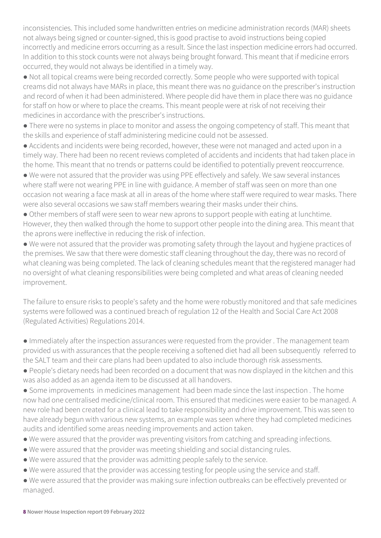inconsistencies. This included some handwritten entries on medicine administration records (MAR) sheets not always being signed or counter-signed, this is good practise to avoid instructions being copied incorrectly and medicine errors occurring as a result. Since the last inspection medicine errors had occurred. In addition to this stock counts were not always being brought forward. This meant that if medicine errors occurred, they would not always be identified in a timely way.

● Not all topical creams were being recorded correctly. Some people who were supported with topical creams did not always have MARs in place, this meant there was no guidance on the prescriber's instruction and record of when it had been administered. Where people did have them in place there was no guidance for staff on how or where to place the creams. This meant people were at risk of not receiving their medicines in accordance with the prescriber's instructions.

● There were no systems in place to monitor and assess the ongoing competency of staff. This meant that the skills and experience of staff administering medicine could not be assessed.

● Accidents and incidents were being recorded, however, these were not managed and acted upon in a timely way. There had been no recent reviews completed of accidents and incidents that had taken place in the home. This meant that no trends or patterns could be identified to potentially prevent reoccurrence.

● We were not assured that the provider was using PPE effectively and safely. We saw several instances where staff were not wearing PPE in line with guidance. A member of staff was seen on more than one occasion not wearing a face mask at all in areas of the home where staff were required to wear masks. There were also several occasions we saw staff members wearing their masks under their chins.

● Other members of staff were seen to wear new aprons to support people with eating at lunchtime. However, they then walked through the home to support other people into the dining area. This meant that the aprons were ineffective in reducing the risk of infection.

● We were not assured that the provider was promoting safety through the layout and hygiene practices of the premises. We saw that there were domestic staff cleaning throughout the day, there was no record of what cleaning was being completed. The lack of cleaning schedules meant that the registered manager had no oversight of what cleaning responsibilities were being completed and what areas of cleaning needed improvement.

The failure to ensure risks to people's safety and the home were robustly monitored and that safe medicines systems were followed was a continued breach of regulation 12 of the Health and Social Care Act 2008 (Regulated Activities) Regulations 2014.

● Immediately after the inspection assurances were requested from the provider . The management team provided us with assurances that the people receiving a softened diet had all been subsequently referred to the SALT team and their care plans had been updated to also include thorough risk assessments.

● People's dietary needs had been recorded on a document that was now displayed in the kitchen and this was also added as an agenda item to be discussed at all handovers.

● Some improvements in medicines management had been made since the last inspection . The home now had one centralised medicine/clinical room. This ensured that medicines were easier to be managed. A new role had been created for a clinical lead to take responsibility and drive improvement. This was seen to have already begun with various new systems, an example was seen where they had completed medicines audits and identified some areas needing improvements and action taken.

- We were assured that the provider was preventing visitors from catching and spreading infections.
- We were assured that the provider was meeting shielding and social distancing rules.
- We were assured that the provider was admitting people safely to the service.
- We were assured that the provider was accessing testing for people using the service and staff.
- We were assured that the provider was making sure infection outbreaks can be effectively prevented or managed.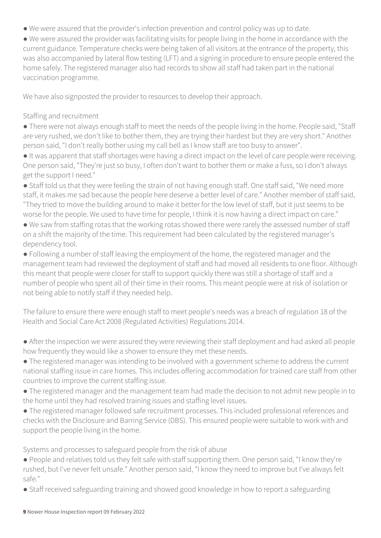- We were assured that the provider's infection prevention and control policy was up to date.
- We were assured the provider was facilitating visits for people living in the home in accordance with the current guidance. Temperature checks were being taken of all visitors at the entrance of the property, this was also accompanied by lateral flow testing (LFT) and a signing in procedure to ensure people entered the home safely. The registered manager also had records to show all staff had taken part in the national vaccination programme.

We have also signposted the provider to resources to develop their approach.

#### Staffing and recruitment

● There were not always enough staff to meet the needs of the people living in the home. People said, "Staff are very rushed, we don't like to bother them, they are trying their hardest but they are very short." Another person said, "I don't really bother using my call bell as I know staff are too busy to answer".

● It was apparent that staff shortages were having a direct impact on the level of care people were receiving. One person said, "They're just so busy, I often don't want to bother them or make a fuss, so I don't always get the support I need."

● Staff told us that they were feeling the strain of not having enough staff. One staff said, "We need more staff, it makes me sad because the people here deserve a better level of care." Another member of staff said, "They tried to move the building around to make it better for the low level of staff, but it just seems to be worse for the people. We used to have time for people, I think it is now having a direct impact on care."

● We saw from staffing rotas that the working rotas showed there were rarely the assessed number of staff on a shift the majority of the time. This requirement had been calculated by the registered manager's dependency tool.

● Following a number of staff leaving the employment of the home, the registered manager and the management team had reviewed the deployment of staff and had moved all residents to one floor. Although this meant that people were closer for staff to support quickly there was still a shortage of staff and a number of people who spent all of their time in their rooms. This meant people were at risk of isolation or not being able to notify staff if they needed help.

The failure to ensure there were enough staff to meet people's needs was a breach of regulation 18 of the Health and Social Care Act 2008 (Regulated Activities) Regulations 2014.

● After the inspection we were assured they were reviewing their staff deployment and had asked all people how frequently they would like a shower to ensure they met these needs.

● The registered manager was intending to be involved with a government scheme to address the current national staffing issue in care homes. This includes offering accommodation for trained care staff from other countries to improve the current staffing issue.

● The registered manager and the management team had made the decision to not admit new people in to the home until they had resolved training issues and staffing level issues.

● The registered manager followed safe recruitment processes. This included professional references and checks with the Disclosure and Barring Service (DBS). This ensured people were suitable to work with and support the people living in the home.

Systems and processes to safeguard people from the risk of abuse

● People and relatives told us they felt safe with staff supporting them. One person said, "I know they're rushed, but I've never felt unsafe." Another person said, "I know they need to improve but I've always felt safe."

● Staff received safeguarding training and showed good knowledge in how to report a safeguarding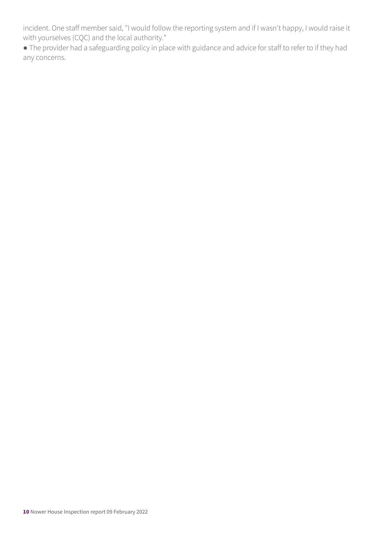incident. One staff member said, "I would follow the reporting system and if I wasn't happy, I would raise it with yourselves (CQC) and the local authority."

● The provider had a safeguarding policy in place with guidance and advice for staff to refer to if they had any concerns.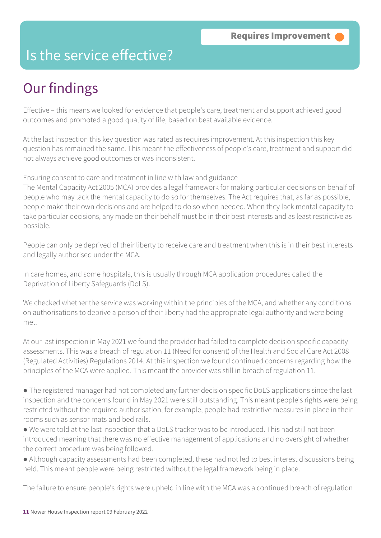### Is the service effective?

# Our findings

Effective – this means we looked for evidence that people's care, treatment and support achieved good outcomes and promoted a good quality of life, based on best available evidence.

At the last inspection this key question was rated as requires improvement. At this inspection this key question has remained the same. This meant the effectiveness of people's care, treatment and support did not always achieve good outcomes or was inconsistent.

Ensuring consent to care and treatment in line with law and guidance

The Mental Capacity Act 2005 (MCA) provides a legal framework for making particular decisions on behalf of people who may lack the mental capacity to do so for themselves. The Act requires that, as far as possible, people make their own decisions and are helped to do so when needed. When they lack mental capacity to take particular decisions, any made on their behalf must be in their best interests and as least restrictive as possible.

People can only be deprived of their liberty to receive care and treatment when this is in their best interests and legally authorised under the MCA.

In care homes, and some hospitals, this is usually through MCA application procedures called the Deprivation of Liberty Safeguards (DoLS).

We checked whether the service was working within the principles of the MCA, and whether any conditions on authorisations to deprive a person of their liberty had the appropriate legal authority and were being met.

At our last inspection in May 2021 we found the provider had failed to complete decision specific capacity assessments. This was a breach of regulation 11 (Need for consent) of the Health and Social Care Act 2008 (Regulated Activities) Regulations 2014. At this inspection we found continued concerns regarding how the principles of the MCA were applied. This meant the provider was still in breach of regulation 11.

● The registered manager had not completed any further decision specific DoLS applications since the last inspection and the concerns found in May 2021 were still outstanding. This meant people's rights were being restricted without the required authorisation, for example, people had restrictive measures in place in their rooms such as sensor mats and bed rails.

● We were told at the last inspection that a DoLS tracker was to be introduced. This had still not been introduced meaning that there was no effective management of applications and no oversight of whether the correct procedure was being followed.

● Although capacity assessments had been completed, these had not led to best interest discussions being held. This meant people were being restricted without the legal framework being in place.

The failure to ensure people's rights were upheld in line with the MCA was a continued breach of regulation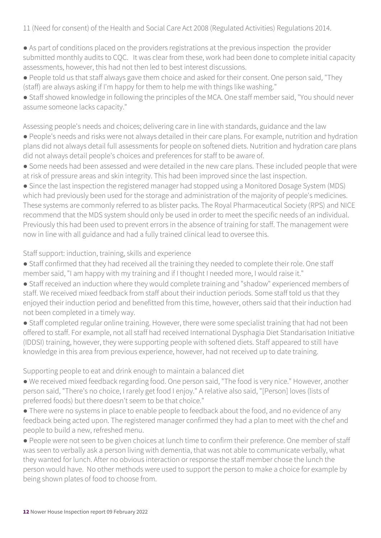11 (Need for consent) of the Health and Social Care Act 2008 (Regulated Activities) Regulations 2014.

- As part of conditions placed on the providers registrations at the previous inspection the provider submitted monthly audits to CQC. It was clear from these, work had been done to complete initial capacity assessments, however, this had not then led to best interest discussions.
- People told us that staff always gave them choice and asked for their consent. One person said, "They (staff) are always asking if I'm happy for them to help me with things like washing."
- Staff showed knowledge in following the principles of the MCA. One staff member said, "You should never assume someone lacks capacity."

Assessing people's needs and choices; delivering care in line with standards, guidance and the law

- People's needs and risks were not always detailed in their care plans. For example, nutrition and hydration plans did not always detail full assessments for people on softened diets. Nutrition and hydration care plans did not always detail people's choices and preferences for staff to be aware of.
- Some needs had been assessed and were detailed in the new care plans. These included people that were at risk of pressure areas and skin integrity. This had been improved since the last inspection.
- Since the last inspection the registered manager had stopped using a Monitored Dosage System (MDS) which had previously been used for the storage and administration of the majority of people's medicines. These systems are commonly referred to as blister packs. The Royal Pharmaceutical Society (RPS) and NICE recommend that the MDS system should only be used in order to meet the specific needs of an individual. Previously this had been used to prevent errors in the absence of training for staff. The management were now in line with all guidance and had a fully trained clinical lead to oversee this.

#### Staff support: induction, training, skills and experience

- Staff confirmed that they had received all the training they needed to complete their role. One staff member said, "I am happy with my training and if I thought I needed more, I would raise it."
- Staff received an induction where they would complete training and "shadow" experienced members of staff. We received mixed feedback from staff about their induction periods. Some staff told us that they enjoyed their induction period and benefitted from this time, however, others said that their induction had not been completed in a timely way.
- Staff completed regular online training. However, there were some specialist training that had not been offered to staff. For example, not all staff had received International Dysphagia Diet Standarisation Initiative (IDDSI) training, however, they were supporting people with softened diets. Staff appeared to still have knowledge in this area from previous experience, however, had not received up to date training.

Supporting people to eat and drink enough to maintain a balanced diet

- We received mixed feedback regarding food. One person said, "The food is very nice." However, another person said, "There's no choice, I rarely get food I enjoy." A relative also said, "[Person] loves (lists of preferred foods) but there doesn't seem to be that choice."
- There were no systems in place to enable people to feedback about the food, and no evidence of any feedback being acted upon. The registered manager confirmed they had a plan to meet with the chef and people to build a new, refreshed menu.
- People were not seen to be given choices at lunch time to confirm their preference. One member of staff was seen to verbally ask a person living with dementia, that was not able to communicate verbally, what they wanted for lunch. After no obvious interaction or response the staff member chose the lunch the person would have. No other methods were used to support the person to make a choice for example by being shown plates of food to choose from.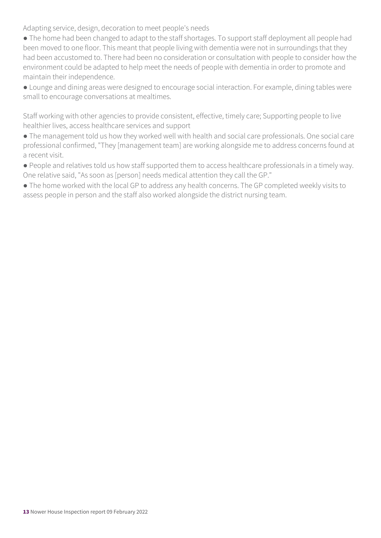Adapting service, design, decoration to meet people's needs

- The home had been changed to adapt to the staff shortages. To support staff deployment all people had been moved to one floor. This meant that people living with dementia were not in surroundings that they had been accustomed to. There had been no consideration or consultation with people to consider how the environment could be adapted to help meet the needs of people with dementia in order to promote and maintain their independence.
- Lounge and dining areas were designed to encourage social interaction. For example, dining tables were small to encourage conversations at mealtimes.

Staff working with other agencies to provide consistent, effective, timely care; Supporting people to live healthier lives, access healthcare services and support

- The management told us how they worked well with health and social care professionals. One social care professional confirmed, "They [management team] are working alongside me to address concerns found at a recent visit.
- People and relatives told us how staff supported them to access healthcare professionals in a timely way. One relative said, "As soon as [person] needs medical attention they call the GP."
- The home worked with the local GP to address any health concerns. The GP completed weekly visits to assess people in person and the staff also worked alongside the district nursing team.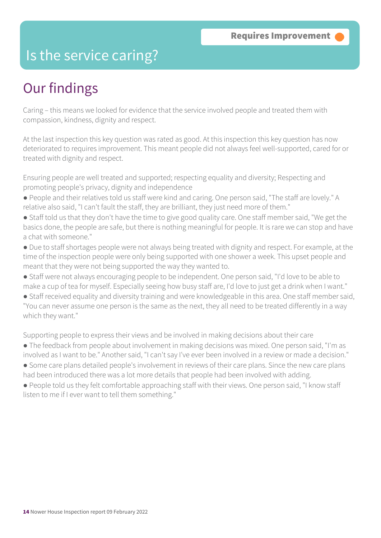### Is the service caring?

## Our findings

Caring – this means we looked for evidence that the service involved people and treated them with compassion, kindness, dignity and respect.

At the last inspection this key question was rated as good. At this inspection this key question has now deteriorated to requires improvement. This meant people did not always feel well-supported, cared for or treated with dignity and respect.

Ensuring people are well treated and supported; respecting equality and diversity; Respecting and promoting people's privacy, dignity and independence

- People and their relatives told us staff were kind and caring. One person said, "The staff are lovely." A relative also said, "I can't fault the staff, they are brilliant, they just need more of them."
- Staff told us that they don't have the time to give good quality care. One staff member said, "We get the basics done, the people are safe, but there is nothing meaningful for people. It is rare we can stop and have a chat with someone."
- Due to staff shortages people were not always being treated with dignity and respect. For example, at the time of the inspection people were only being supported with one shower a week. This upset people and meant that they were not being supported the way they wanted to.
- Staff were not always encouraging people to be independent. One person said, "I'd love to be able to make a cup of tea for myself. Especially seeing how busy staff are, I'd love to just get a drink when I want."
- Staff received equality and diversity training and were knowledgeable in this area. One staff member said, "You can never assume one person is the same as the next, they all need to be treated differently in a way which they want."

Supporting people to express their views and be involved in making decisions about their care

● The feedback from people about involvement in making decisions was mixed. One person said, "I'm as involved as I want to be." Another said, "I can't say I've ever been involved in a review or made a decision."

● Some care plans detailed people's involvement in reviews of their care plans. Since the new care plans had been introduced there was a lot more details that people had been involved with adding.

● People told us they felt comfortable approaching staff with their views. One person said, "I know staff listen to me if I ever want to tell them something."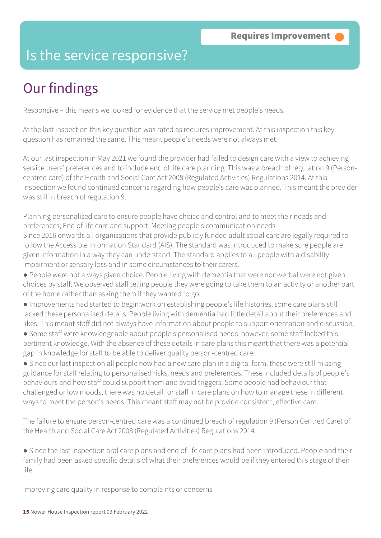### Is the service responsive?

# Our findings

Responsive – this means we looked for evidence that the service met people's needs.

At the last inspection this key question was rated as requires improvement. At this inspection this key question has remained the same. This meant people's needs were not always met.

At our last inspection in May 2021 we found the provider had failed to design care with a view to achieving service users' preferences and to include end of life care planning .This was a breach of regulation 9 (Personcentred care) of the Health and Social Care Act 2008 (Regulated Activities) Regulations 2014. At this inspection we found continued concerns regarding how people's care was planned. This meant the provider was still in breach of regulation 9.

Planning personalised care to ensure people have choice and control and to meet their needs and preferences; End of life care and support; Meeting people's communication needs Since 2016 onwards all organisations that provide publicly funded adult social care are legally required to follow the Accessible Information Standard (AIS). The standard was introduced to make sure people are given information in a way they can understand. The standard applies to all people with a disability, impairment or sensory loss and in some circumstances to their carers.

- People were not always given choice. People living with dementia that were non-verbal were not given choices by staff. We observed staff telling people they were going to take them to an activity or another part of the home rather than asking them if they wanted to go.
- Improvements had started to begin work on establishing people's life histories, some care plans still lacked these personalised details. People living with dementia had little detail about their preferences and likes. This meant staff did not always have information about people to support orientation and discussion.
- Some staff were knowledgeable about people's personalised needs, however, some staff lacked this pertinent knowledge. With the absence of these details in care plans this meant that there was a potential gap in knowledge for staff to be able to deliver quality person-centred care.
- Since our last inspection all people now had a new care plan in a digital form. these were still missing guidance for staff relating to personalised risks, needs and preferences. These included details of people's behaviours and how staff could support them and avoid triggers. Some people had behaviour that challenged or low moods, there was no detail for staff in care plans on how to manage these in different ways to meet the person's needs. This meant staff may not be provide consistent, effective care.

The failure to ensure person-centred care was a continued breach of regulation 9 (Person Centred Care) of the Health and Social Care Act 2008 (Regulated Activities) Regulations 2014.

● Since the last inspection oral care plans and end of life care plans had been introduced. People and their family had been asked specific details of what their preferences would be if they entered this stage of their life.

Improving care quality in response to complaints or concerns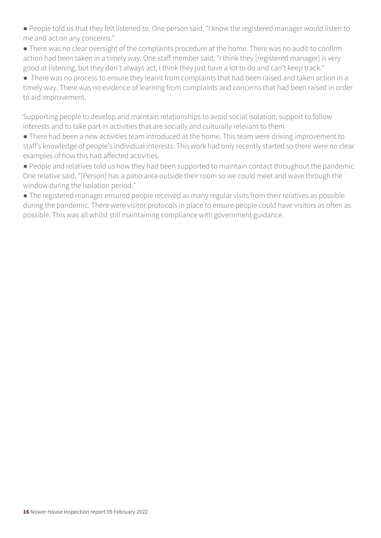● People told us that they felt listened to. One person said, "I know the registered manager would listen to me and act on any concerns."

● There was no clear oversight of the complaints procedure at the home. There was no audit to confirm action had been taken in a timely way. One staff member said, "I think they [registered manager] is very good at listening, but they don't always act, I think they just have a lot to do and can't keep track."

● There was no process to ensure they learnt from complaints that had been raised and taken action in a timely way. There was no evidence of learning from complaints and concerns that had been raised in order to aid improvement.

Supporting people to develop and maintain relationships to avoid social isolation; support to follow interests and to take part in activities that are socially and culturally relevant to them

● There had been a new activities team introduced at the home. This team were driving improvement to staff's knowledge of people's individual interests. This work had only recently started so there were no clear examples of how this had affected activities.

● People and relatives told us how they had been supported to maintain contact throughout the pandemic. One relative said, "[Person] has a patio area outside their room so we could meet and wave through the window during the isolation period."

● The registered manager ensured people received as many regular visits from their relatives as possible during the pandemic. There were visitor protocols in place to ensure people could have visitors as often as possible. This was all whilst still maintaining compliance with government guidance.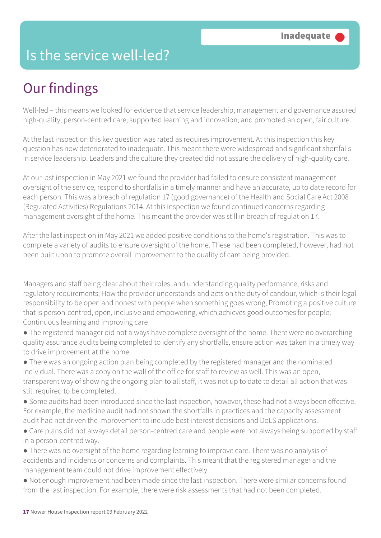### Is the service well-led?

# Our findings

Well-led – this means we looked for evidence that service leadership, management and governance assured high-quality, person-centred care; supported learning and innovation; and promoted an open, fair culture.

At the last inspection this key question was rated as requires improvement. At this inspection this key question has now deteriorated to inadequate. This meant there were widespread and significant shortfalls in service leadership. Leaders and the culture they created did not assure the delivery of high-quality care.

At our last inspection in May 2021 we found the provider had failed to ensure consistent management oversight of the service, respond to shortfalls in a timely manner and have an accurate, up to date record for each person. This was a breach of regulation 17 (good governance) of the Health and Social Care Act 2008 (Regulated Activities) Regulations 2014. At this inspection we found continued concerns regarding management oversight of the home. This meant the provider was still in breach of regulation 17.

After the last inspection in May 2021 we added positive conditions to the home's registration. This was to complete a variety of audits to ensure oversight of the home. These had been completed, however, had not been built upon to promote overall improvement to the quality of care being provided.

Managers and staff being clear about their roles, and understanding quality performance, risks and regulatory requirements; How the provider understands and acts on the duty of candour, which is their legal responsibility to be open and honest with people when something goes wrong; Promoting a positive culture that is person-centred, open, inclusive and empowering, which achieves good outcomes for people; Continuous learning and improving care

● The registered manager did not always have complete oversight of the home. There were no overarching quality assurance audits being completed to identify any shortfalls, ensure action was taken in a timely way to drive improvement at the home.

● There was an ongoing action plan being completed by the registered manager and the nominated individual. There was a copy on the wall of the office for staff to review as well. This was an open, transparent way of showing the ongoing plan to all staff, it was not up to date to detail all action that was still required to be completed.

- Some audits had been introduced since the last inspection, however, these had not always been effective. For example, the medicine audit had not shown the shortfalls in practices and the capacity assessment audit had not driven the improvement to include best interest decisions and DoLS applications.
- Care plans did not always detail person-centred care and people were not always being supported by staff in a person-centred way.
- There was no oversight of the home regarding learning to improve care. There was no analysis of accidents and incidents or concerns and complaints. This meant that the registered manager and the management team could not drive improvement effectively.
- Not enough improvement had been made since the last inspection. There were similar concerns found from the last inspection. For example, there were risk assessments that had not been completed.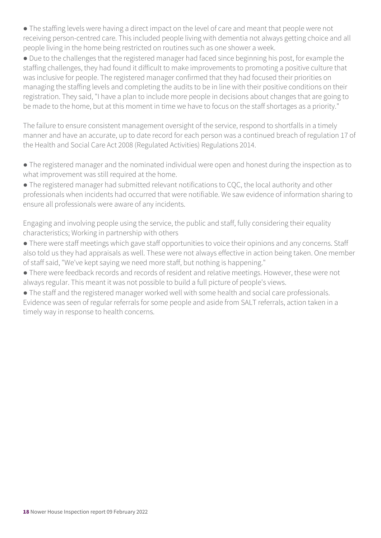● The staffing levels were having a direct impact on the level of care and meant that people were not receiving person-centred care. This included people living with dementia not always getting choice and all people living in the home being restricted on routines such as one shower a week.

● Due to the challenges that the registered manager had faced since beginning his post, for example the staffing challenges, they had found it difficult to make improvements to promoting a positive culture that was inclusive for people. The registered manager confirmed that they had focused their priorities on managing the staffing levels and completing the audits to be in line with their positive conditions on their registration. They said, "I have a plan to include more people in decisions about changes that are going to be made to the home, but at this moment in time we have to focus on the staff shortages as a priority."

The failure to ensure consistent management oversight of the service, respond to shortfalls in a timely manner and have an accurate, up to date record for each person was a continued breach of regulation 17 of the Health and Social Care Act 2008 (Regulated Activities) Regulations 2014.

- The registered manager and the nominated individual were open and honest during the inspection as to what improvement was still required at the home.
- The registered manager had submitted relevant notifications to CQC, the local authority and other professionals when incidents had occurred that were notifiable. We saw evidence of information sharing to ensure all professionals were aware of any incidents.

Engaging and involving people using the service, the public and staff, fully considering their equality characteristics; Working in partnership with others

- There were staff meetings which gave staff opportunities to voice their opinions and any concerns. Staff also told us they had appraisals as well. These were not always effective in action being taken. One member of staff said, "We've kept saying we need more staff, but nothing is happening."
- There were feedback records and records of resident and relative meetings. However, these were not always regular. This meant it was not possible to build a full picture of people's views.
- The staff and the registered manager worked well with some health and social care professionals.

Evidence was seen of regular referrals for some people and aside from SALT referrals, action taken in a timely way in response to health concerns.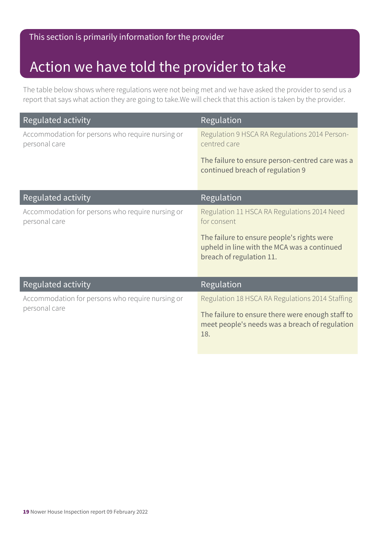### Action we have told the provider to take

The table below shows where regulations were not being met and we have asked the provider to send us a report that says what action they are going to take.We will check that this action is taken by the provider.

| Regulated activity                                                | Regulation                                                                                                            |
|-------------------------------------------------------------------|-----------------------------------------------------------------------------------------------------------------------|
| Accommodation for persons who require nursing or<br>personal care | Regulation 9 HSCA RA Regulations 2014 Person-<br>centred care                                                         |
|                                                                   | The failure to ensure person-centred care was a<br>continued breach of regulation 9                                   |
| Regulated activity                                                | Regulation                                                                                                            |
| Accommodation for persons who require nursing or<br>personal care | Regulation 11 HSCA RA Regulations 2014 Need<br>for consent                                                            |
|                                                                   | The failure to ensure people's rights were<br>upheld in line with the MCA was a continued<br>breach of regulation 11. |
| Regulated activity                                                | Regulation                                                                                                            |
| Accommodation for persons who require nursing or<br>personal care | Regulation 18 HSCA RA Regulations 2014 Staffing                                                                       |
|                                                                   | The failure to ensure there were enough staff to<br>meet people's needs was a breach of regulation<br>18.             |